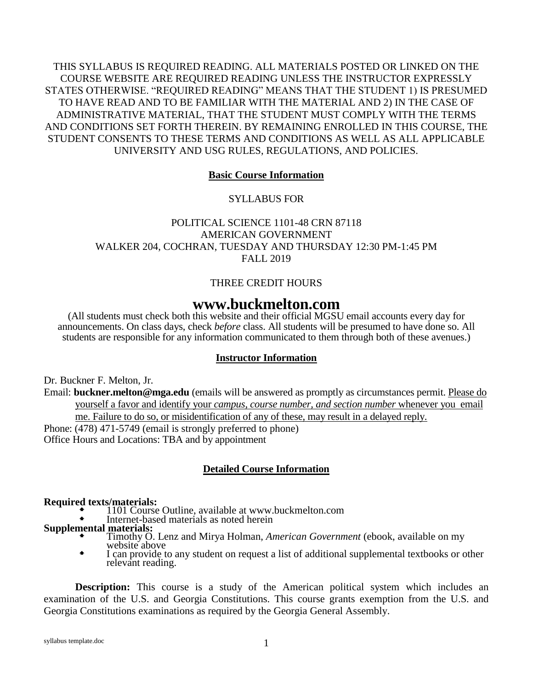THIS SYLLABUS IS REQUIRED READING. ALL MATERIALS POSTED OR LINKED ON THE COURSE WEBSITE ARE REQUIRED READING UNLESS THE INSTRUCTOR EXPRESSLY STATES OTHERWISE. "REQUIRED READING" MEANS THAT THE STUDENT 1) IS PRESUMED TO HAVE READ AND TO BE FAMILIAR WITH THE MATERIAL AND 2) IN THE CASE OF ADMINISTRATIVE MATERIAL, THAT THE STUDENT MUST COMPLY WITH THE TERMS AND CONDITIONS SET FORTH THEREIN. BY REMAINING ENROLLED IN THIS COURSE, THE STUDENT CONSENTS TO THESE TERMS AND CONDITIONS AS WELL AS ALL APPLICABLE UNIVERSITY AND USG RULES, REGULATIONS, AND POLICIES.

### **Basic Course Information**

SYLLABUS FOR

POLITICAL SCIENCE 1101-48 CRN 87118 AMERICAN GOVERNMENT WALKER 204, COCHRAN, TUESDAY AND THURSDAY 12:30 PM-1:45 PM FALL 2019

# THREE CREDIT HOURS

# **www.buckmelton.com**

(All students must check both this website and their official MGSU email accounts every day for announcements. On class days, check *before* class. All students will be presumed to have done so. All students are responsible for any information communicated to them through both of these avenues.)

### **Instructor Information**

Dr. Buckner F. Melton, Jr.

Email: **buckner.melton@mga.edu** (emails will be answered as promptly as circumstances permit. Please do yourself a favor and identify your *campus, course number, and section number* whenever you email me. Failure to do so, or misidentification of any of these, may result in a delayed reply. Phone: (478) 471-5749 (email is strongly preferred to phone) Office Hours and Locations: TBA and by appointment

### **Detailed Course Information**

#### **Required texts/materials:**

- **1101 Course Outline, available at www.buckmelton.com**
- Internet-based materials as noted herein

# **Supplemental materials:**

- Timothy O. Lenz and Mirya Holman, *American Government* (ebook, available on my website above
- I can provide to any student on request a list of additional supplemental textbooks or other relevant reading.

**Description:** This course is a study of the American political system which includes an examination of the U.S. and Georgia Constitutions. This course grants exemption from the U.S. and Georgia Constitutions examinations as required by the Georgia General Assembly.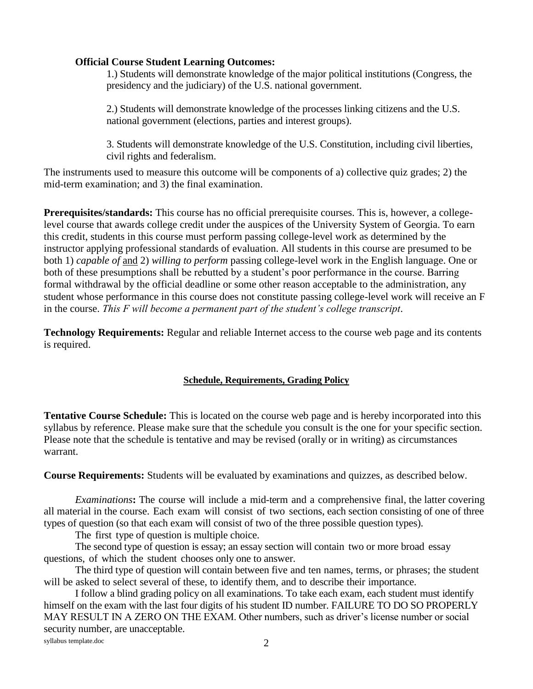### **Official Course Student Learning Outcomes:**

1.) Students will demonstrate knowledge of the major political institutions (Congress, the presidency and the judiciary) of the U.S. national government.

2.) Students will demonstrate knowledge of the processes linking citizens and the U.S. national government (elections, parties and interest groups).

3. Students will demonstrate knowledge of the U.S. Constitution, including civil liberties, civil rights and federalism.

The instruments used to measure this outcome will be components of a) collective quiz grades; 2) the mid-term examination; and 3) the final examination.

**Prerequisites/standards:** This course has no official prerequisite courses. This is, however, a collegelevel course that awards college credit under the auspices of the University System of Georgia. To earn this credit, students in this course must perform passing college-level work as determined by the instructor applying professional standards of evaluation. All students in this course are presumed to be both 1) *capable of* and 2) *willing to perform* passing college-level work in the English language. One or both of these presumptions shall be rebutted by a student's poor performance in the course. Barring formal withdrawal by the official deadline or some other reason acceptable to the administration, any student whose performance in this course does not constitute passing college-level work will receive an F in the course. *This F will become a permanent part of the student's college transcript*.

**Technology Requirements:** Regular and reliable Internet access to the course web page and its contents is required.

# **Schedule, Requirements, Grading Policy**

**Tentative Course Schedule:** This is located on the course web page and is hereby incorporated into this syllabus by reference. Please make sure that the schedule you consult is the one for your specific section. Please note that the schedule is tentative and may be revised (orally or in writing) as circumstances warrant.

**Course Requirements:** Students will be evaluated by examinations and quizzes, as described below.

*Examinations***:** The course will include a mid-term and a comprehensive final, the latter covering all material in the course. Each exam will consist of two sections, each section consisting of one of three types of question (so that each exam will consist of two of the three possible question types).

The first type of question is multiple choice.

The second type of question is essay; an essay section will contain two or more broad essay questions, of which the student chooses only one to answer.

The third type of question will contain between five and ten names, terms, or phrases; the student will be asked to select several of these, to identify them, and to describe their importance.

I follow a blind grading policy on all examinations. To take each exam, each student must identify himself on the exam with the last four digits of his student ID number. FAILURE TO DO SO PROPERLY MAY RESULT IN A ZERO ON THE EXAM. Other numbers, such as driver's license number or social security number, are unacceptable.

syllabus template.doc 2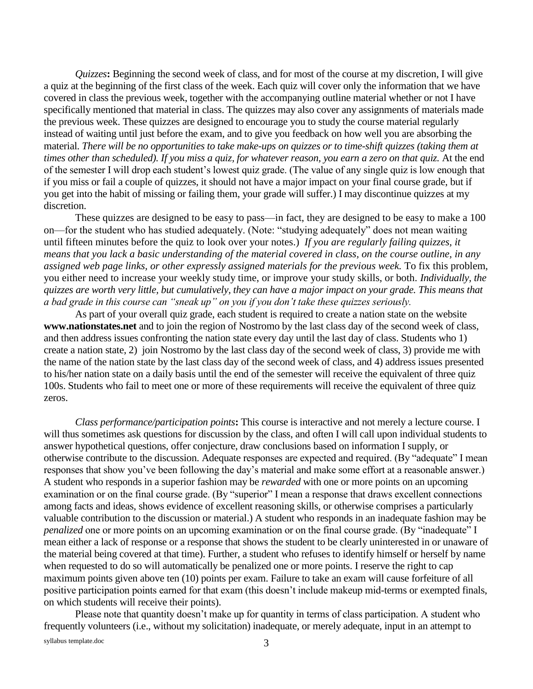*Quizzes***:** Beginning the second week of class, and for most of the course at my discretion, I will give a quiz at the beginning of the first class of the week. Each quiz will cover only the information that we have covered in class the previous week, together with the accompanying outline material whether or not I have specifically mentioned that material in class. The quizzes may also cover any assignments of materials made the previous week. These quizzes are designed to encourage you to study the course material regularly instead of waiting until just before the exam, and to give you feedback on how well you are absorbing the material. *There will be no opportunities to take make-ups on quizzes or to time-shift quizzes (taking them at times other than scheduled). If you miss a quiz, for whatever reason, you earn a zero on that quiz.* At the end of the semester I will drop each student's lowest quiz grade. (The value of any single quiz is low enough that if you miss or fail a couple of quizzes, it should not have a major impact on your final course grade, but if you get into the habit of missing or failing them, your grade will suffer.) I may discontinue quizzes at my discretion.

These quizzes are designed to be easy to pass—in fact, they are designed to be easy to make a 100 on—for the student who has studied adequately. (Note: "studying adequately" does not mean waiting until fifteen minutes before the quiz to look over your notes.) *If you are regularly failing quizzes, it means that you lack a basic understanding of the material covered in class, on the course outline, in any assigned web page links, or other expressly assigned materials for the previous week.* To fix this problem, you either need to increase your weekly study time, or improve your study skills, or both. *Individually, the quizzes are worth very little, but cumulatively, they can have a major impact on your grade. This means that a bad grade in this course can "sneak up" on you if you don't take these quizzes seriously.*

As part of your overall quiz grade, each student is required to create a nation state on the website **www.nationstates.net** and to join the region of Nostromo by the last class day of the second week of class, and then address issues confronting the nation state every day until the last day of class. Students who 1) create a nation state, 2) join Nostromo by the last class day of the second week of class, 3) provide me with the name of the nation state by the last class day of the second week of class, and 4) address issues presented to his/her nation state on a daily basis until the end of the semester will receive the equivalent of three quiz 100s. Students who fail to meet one or more of these requirements will receive the equivalent of three quiz zeros.

*Class performance/participation points***:** This course is interactive and not merely a lecture course. I will thus sometimes ask questions for discussion by the class, and often I will call upon individual students to answer hypothetical questions, offer conjecture, draw conclusions based on information I supply, or otherwise contribute to the discussion. Adequate responses are expected and required. (By "adequate" I mean responses that show you've been following the day's material and make some effort at a reasonable answer.) A student who responds in a superior fashion may be *rewarded* with one or more points on an upcoming examination or on the final course grade. (By "superior" I mean a response that draws excellent connections among facts and ideas, shows evidence of excellent reasoning skills, or otherwise comprises a particularly valuable contribution to the discussion or material.) A student who responds in an inadequate fashion may be *penalized* one or more points on an upcoming examination or on the final course grade. (By "inadequate" I mean either a lack of response or a response that shows the student to be clearly uninterested in or unaware of the material being covered at that time). Further, a student who refuses to identify himself or herself by name when requested to do so will automatically be penalized one or more points. I reserve the right to cap maximum points given above ten (10) points per exam. Failure to take an exam will cause forfeiture of all positive participation points earned for that exam (this doesn't include makeup mid-terms or exempted finals, on which students will receive their points).

Please note that quantity doesn't make up for quantity in terms of class participation. A student who frequently volunteers (i.e., without my solicitation) inadequate, or merely adequate, input in an attempt to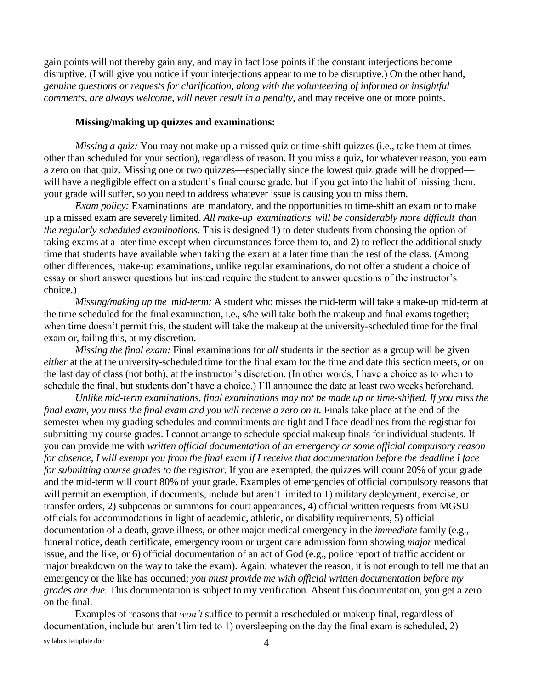gain points will not thereby gain any, and may in fact lose points if the constant interjections become disruptive. (I will give you notice if your interjections appear to me to be disruptive.) On the other hand, *genuine questions or requests for clarification, along with the volunteering of informed or insightful comments, are always welcome, will never result in a penalty*, and may receive one or more points.

#### **Missing/making up quizzes and examinations:**

*Missing a quiz:* You may not make up a missed quiz or time-shift quizzes (i.e., take them at times other than scheduled for your section), regardless of reason. If you miss a quiz, for whatever reason, you earn a zero on that quiz. Missing one or two quizzes—especially since the lowest quiz grade will be dropped will have a negligible effect on a student's final course grade, but if you get into the habit of missing them, your grade will suffer, so you need to address whatever issue is causing you to miss them.

*Exam policy:* Examinations are mandatory, and the opportunities to time-shift an exam or to make up a missed exam are severely limited. *All make-up examinations will be considerably more difficult than the regularly scheduled examinations*. This is designed 1) to deter students from choosing the option of taking exams at a later time except when circumstances force them to, and 2) to reflect the additional study time that students have available when taking the exam at a later time than the rest of the class. (Among other differences, make-up examinations, unlike regular examinations, do not offer a student a choice of essay or short answer questions but instead require the student to answer questions of the instructor's choice.)

*Missing/making up the mid-term:* A student who misses the mid-term will take a make-up mid-term at the time scheduled for the final examination, i.e., s/he will take both the makeup and final exams together; when time doesn't permit this, the student will take the makeup at the university-scheduled time for the final exam or, failing this, at my discretion.

*Missing the final exam:* Final examinations for *all* students in the section as a group will be given *either* at the at the university-scheduled time for the final exam for the time and date this section meets, *or* on the last day of class (not both), at the instructor's discretion. (In other words, I have a choice as to when to schedule the final, but students don't have a choice.) I'll announce the date at least two weeks beforehand.

*Unlike mid-term examinations, final examinations may not be made up or time-shifted. If you miss the final exam, you miss the final exam and you will receive a zero on it. Finals take place at the end of the* semester when my grading schedules and commitments are tight and I face deadlines from the registrar for submitting my course grades. I cannot arrange to schedule special makeup finals for individual students. If you can provide me with *written official documentation of an emergency or some official compulsory reason for absence, I will exempt you from the final exam if I receive that documentation before the deadline I face for submitting course grades to the registrar.* If you are exempted, the quizzes will count 20% of your grade and the mid-term will count 80% of your grade. Examples of emergencies of official compulsory reasons that will permit an exemption, if documents, include but aren't limited to 1) military deployment, exercise, or transfer orders, 2) subpoenas or summons for court appearances, 4) official written requests from MGSU officials for accommodations in light of academic, athletic, or disability requirements, 5) official documentation of a death, grave illness, or other major medical emergency in the *immediate* family (e.g., funeral notice, death certificate, emergency room or urgent care admission form showing *major* medical issue, and the like, or 6) official documentation of an act of God (e.g., police report of traffic accident or major breakdown on the way to take the exam). Again: whatever the reason, it is not enough to tell me that an emergency or the like has occurred; *you must provide me with official written documentation before my grades are due.* This documentation is subject to my verification. Absent this documentation, you get a zero on the final.

Examples of reasons that *won't* suffice to permit a rescheduled or makeup final, regardless of documentation, include but aren't limited to 1) oversleeping on the day the final exam is scheduled, 2)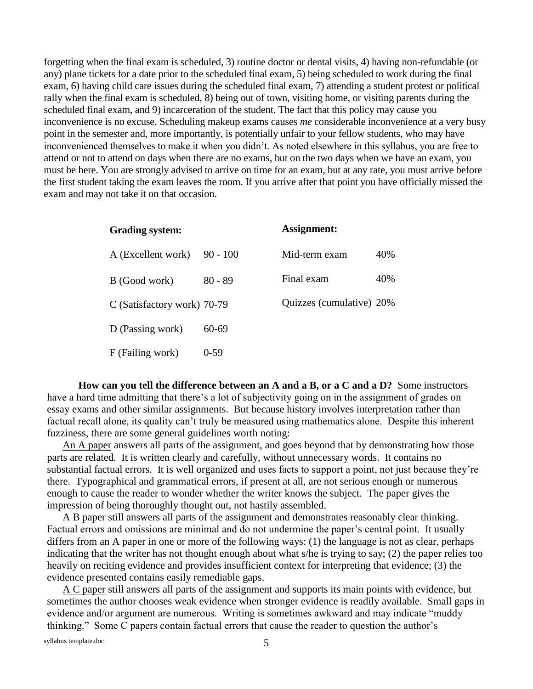forgetting when the final exam is scheduled, 3) routine doctor or dental visits, 4) having non-refundable (or any) plane tickets for a date prior to the scheduled final exam, 5) being scheduled to work during the final exam, 6) having child care issues during the scheduled final exam, 7) attending a student protest or political rally when the final exam is scheduled, 8) being out of town, visiting home, or visiting parents during the scheduled final exam, and 9) incarceration of the student. The fact that this policy may cause you inconvenience is no excuse. Scheduling makeup exams causes *me* considerable inconvenience at a very busy point in the semester and, more importantly, is potentially unfair to your fellow students, who may have inconvenienced themselves to make it when you didn't. As noted elsewhere in this syllabus, you are free to attend or not to attend on days when there are no exams, but on the two days when we have an exam, you must be here. You are strongly advised to arrive on time for an exam, but at any rate, you must arrive before the first student taking the exam leaves the room. If you arrive after that point you have officially missed the exam and may not take it on that occasion.

| <b>Grading system:</b>      |            | Assignment:              |     |
|-----------------------------|------------|--------------------------|-----|
| A (Excellent work)          | $90 - 100$ | Mid-term exam            | 40% |
| B (Good work)               | $80 - 89$  | Final exam               | 40% |
| C (Satisfactory work) 70-79 |            | Quizzes (cumulative) 20% |     |
| D (Passing work)            | 60-69      |                          |     |
| F (Failing work)            | $0-59$     |                          |     |

**How can you tell the difference between an A and a B, or a C and a D?** Some instructors have a hard time admitting that there's a lot of subjectivity going on in the assignment of grades on essay exams and other similar assignments. But because history involves interpretation rather than factual recall alone, its quality can't truly be measured using mathematics alone. Despite this inherent fuzziness, there are some general guidelines worth noting:

An A paper answers all parts of the assignment, and goes beyond that by demonstrating how those parts are related. It is written clearly and carefully, without unnecessary words. It contains no substantial factual errors. It is well organized and uses facts to support a point, not just because they're there. Typographical and grammatical errors, if present at all, are not serious enough or numerous enough to cause the reader to wonder whether the writer knows the subject. The paper gives the impression of being thoroughly thought out, not hastily assembled.

A B paper still answers all parts of the assignment and demonstrates reasonably clear thinking. Factual errors and omissions are minimal and do not undermine the paper's central point. It usually differs from an A paper in one or more of the following ways: (1) the language is not as clear, perhaps indicating that the writer has not thought enough about what s/he is trying to say; (2) the paper relies too heavily on reciting evidence and provides insufficient context for interpreting that evidence; (3) the evidence presented contains easily remediable gaps.

A C paper still answers all parts of the assignment and supports its main points with evidence, but sometimes the author chooses weak evidence when stronger evidence is readily available. Small gaps in evidence and/or argument are numerous. Writing is sometimes awkward and may indicate "muddy thinking." Some C papers contain factual errors that cause the reader to question the author's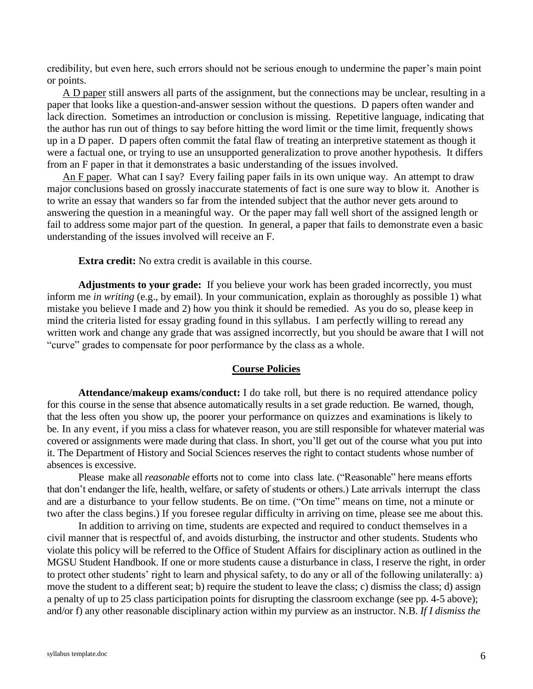credibility, but even here, such errors should not be serious enough to undermine the paper's main point or points.

A D paper still answers all parts of the assignment, but the connections may be unclear, resulting in a paper that looks like a question-and-answer session without the questions. D papers often wander and lack direction. Sometimes an introduction or conclusion is missing. Repetitive language, indicating that the author has run out of things to say before hitting the word limit or the time limit, frequently shows up in a D paper. D papers often commit the fatal flaw of treating an interpretive statement as though it were a factual one, or trying to use an unsupported generalization to prove another hypothesis. It differs from an F paper in that it demonstrates a basic understanding of the issues involved.

An F paper. What can I say? Every failing paper fails in its own unique way. An attempt to draw major conclusions based on grossly inaccurate statements of fact is one sure way to blow it. Another is to write an essay that wanders so far from the intended subject that the author never gets around to answering the question in a meaningful way. Or the paper may fall well short of the assigned length or fail to address some major part of the question. In general, a paper that fails to demonstrate even a basic understanding of the issues involved will receive an F.

**Extra credit:** No extra credit is available in this course.

**Adjustments to your grade:** If you believe your work has been graded incorrectly, you must inform me *in writing* (e.g., by email). In your communication, explain as thoroughly as possible 1) what mistake you believe I made and 2) how you think it should be remedied. As you do so, please keep in mind the criteria listed for essay grading found in this syllabus. I am perfectly willing to reread any written work and change any grade that was assigned incorrectly, but you should be aware that I will not "curve" grades to compensate for poor performance by the class as a whole.

#### **Course Policies**

**Attendance/makeup exams/conduct:** I do take roll, but there is no required attendance policy for this course in the sense that absence automatically results in a set grade reduction. Be warned, though, that the less often you show up, the poorer your performance on quizzes and examinations is likely to be. In any event, if you miss a class for whatever reason, you are still responsible for whatever material was covered or assignments were made during that class. In short, you'll get out of the course what you put into it. The Department of History and Social Sciences reserves the right to contact students whose number of absences is excessive.

Please make all *reasonable* efforts not to come into class late. ("Reasonable" here means efforts that don't endanger the life, health, welfare, or safety of students or others.) Late arrivals interrupt the class and are a disturbance to your fellow students. Be on time. ("On time" means on time, not a minute or two after the class begins.) If you foresee regular difficulty in arriving on time, please see me about this.

In addition to arriving on time, students are expected and required to conduct themselves in a civil manner that is respectful of, and avoids disturbing, the instructor and other students. Students who violate this policy will be referred to the Office of Student Affairs for disciplinary action as outlined in the MGSU Student Handbook. If one or more students cause a disturbance in class, I reserve the right, in order to protect other students' right to learn and physical safety, to do any or all of the following unilaterally: a) move the student to a different seat; b) require the student to leave the class; c) dismiss the class; d) assign a penalty of up to 25 class participation points for disrupting the classroom exchange (see pp. 4-5 above); and/or f) any other reasonable disciplinary action within my purview as an instructor. N.B. *If I dismiss the*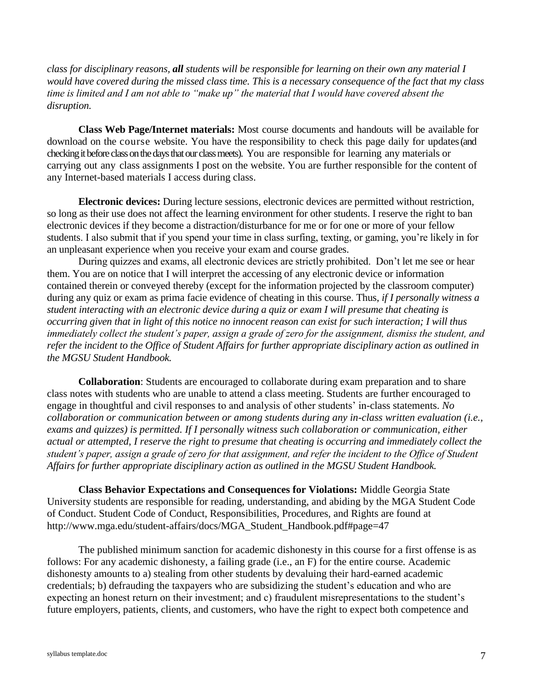*class for disciplinary reasons, all students will be responsible for learning on their own any material I would have covered during the missed class time. This is a necessary consequence of the fact that my class time is limited and I am not able to "make up" the material that I would have covered absent the disruption.*

**Class Web Page/Internet materials:** Most course documents and handouts will be available for download on the course website. You have the responsibility to check this page daily for updates (and checking it before class on the days that our class meets). You are responsible for learning any materials or carrying out any class assignments I post on the website. You are further responsible for the content of any Internet-based materials I access during class.

**Electronic devices:** During lecture sessions, electronic devices are permitted without restriction, so long as their use does not affect the learning environment for other students. I reserve the right to ban electronic devices if they become a distraction/disturbance for me or for one or more of your fellow students. I also submit that if you spend your time in class surfing, texting, or gaming, you're likely in for an unpleasant experience when you receive your exam and course grades.

During quizzes and exams, all electronic devices are strictly prohibited. Don't let me see or hear them. You are on notice that I will interpret the accessing of any electronic device or information contained therein or conveyed thereby (except for the information projected by the classroom computer) during any quiz or exam as prima facie evidence of cheating in this course. Thus, *if I personally witness a student interacting with an electronic device during a quiz or exam I will presume that cheating is occurring given that in light of this notice no innocent reason can exist for such interaction; I will thus immediately collect the student's paper, assign a grade of zero for the assignment, dismiss the student, and refer the incident to the Office of Student Affairs for further appropriate disciplinary action as outlined in the MGSU Student Handbook.*

**Collaboration**: Students are encouraged to collaborate during exam preparation and to share class notes with students who are unable to attend a class meeting. Students are further encouraged to engage in thoughtful and civil responses to and analysis of other students' in-class statements. *No collaboration or communication between or among students during any in-class written evaluation (i.e., exams and quizzes) is permitted. If I personally witness such collaboration or communication, either actual or attempted, I reserve the right to presume that cheating is occurring and immediately collect the student's paper, assign a grade of zero for that assignment, and refer the incident to the Office of Student Affairs for further appropriate disciplinary action as outlined in the MGSU Student Handbook.*

**Class Behavior Expectations and Consequences for Violations:** Middle Georgia State University students are responsible for reading, understanding, and abiding by the MGA Student Code of Conduct. Student Code of Conduct, Responsibilities, Procedures, and Rights are found at http://www.mga.edu/student-affairs/docs/MGA\_Student\_Handbook.pdf#page=47

The published minimum sanction for academic dishonesty in this course for a first offense is as follows: For any academic dishonesty, a failing grade (i.e., an F) for the entire course. Academic dishonesty amounts to a) stealing from other students by devaluing their hard-earned academic credentials; b) defrauding the taxpayers who are subsidizing the student's education and who are expecting an honest return on their investment; and c) fraudulent misrepresentations to the student's future employers, patients, clients, and customers, who have the right to expect both competence and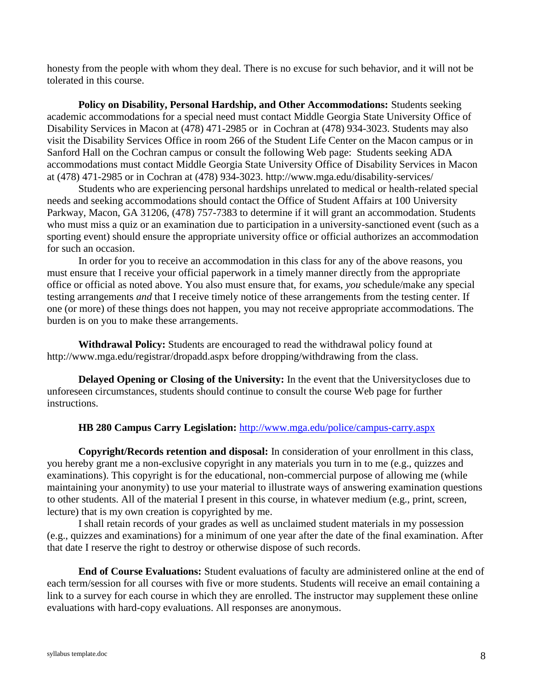honesty from the people with whom they deal. There is no excuse for such behavior, and it will not be tolerated in this course.

**Policy on Disability, Personal Hardship, and Other Accommodations:** Students seeking academic accommodations for a special need must contact Middle Georgia State University Office of Disability Services in Macon at (478) 471-2985 or in Cochran at (478) 934-3023. Students may also visit the Disability Services Office in room 266 of the Student Life Center on the Macon campus or in Sanford Hall on the Cochran campus or consult the following Web page: Students seeking ADA accommodations must contact Middle Georgia State University Office of Disability Services in Macon at (478) 471-2985 or in Cochran at (478) 934-3023.<http://www.mga.edu/disability-services/>

Students who are experiencing personal hardships unrelated to medical or health-related special needs and seeking accommodations should contact the Office of Student Affairs at 100 University Parkway, Macon, GA 31206, (478) 757-7383 to determine if it will grant an accommodation. Students who must miss a quiz or an examination due to participation in a university-sanctioned event (such as a sporting event) should ensure the appropriate university office or official authorizes an accommodation for such an occasion.

In order for you to receive an accommodation in this class for any of the above reasons, you must ensure that I receive your official paperwork in a timely manner directly from the appropriate office or official as noted above. You also must ensure that, for exams, *you* schedule/make any special testing arrangements *and* that I receive timely notice of these arrangements from the testing center. If one (or more) of these things does not happen, you may not receive appropriate accommodations. The burden is on you to make these arrangements.

**Withdrawal Policy:** Students are encouraged to read the withdrawal policy found at <http://www.mga.edu/registrar/dropadd.aspx> before dropping/withdrawing from the class.

**Delayed Opening or Closing of the University:** In the event that the Universitycloses due to unforeseen circumstances, students should continue to consult the course Web page for further instructions.

# **HB 280 Campus Carry Legislation:** <http://www.mga.edu/police/campus-carry.aspx>

**Copyright/Records retention and disposal:** In consideration of your enrollment in this class, you hereby grant me a non-exclusive copyright in any materials you turn in to me (e.g., quizzes and examinations). This copyright is for the educational, non-commercial purpose of allowing me (while maintaining your anonymity) to use your material to illustrate ways of answering examination questions to other students. All of the material I present in this course, in whatever medium (e.g., print, screen, lecture) that is my own creation is copyrighted by me.

I shall retain records of your grades as well as unclaimed student materials in my possession (e.g., quizzes and examinations) for a minimum of one year after the date of the final examination. After that date I reserve the right to destroy or otherwise dispose of such records.

**End of Course Evaluations:** Student evaluations of faculty are administered online at the end of each term/session for all courses with five or more students. Students will receive an email containing a link to a survey for each course in which they are enrolled. The instructor may supplement these online evaluations with hard-copy evaluations. All responses are anonymous.